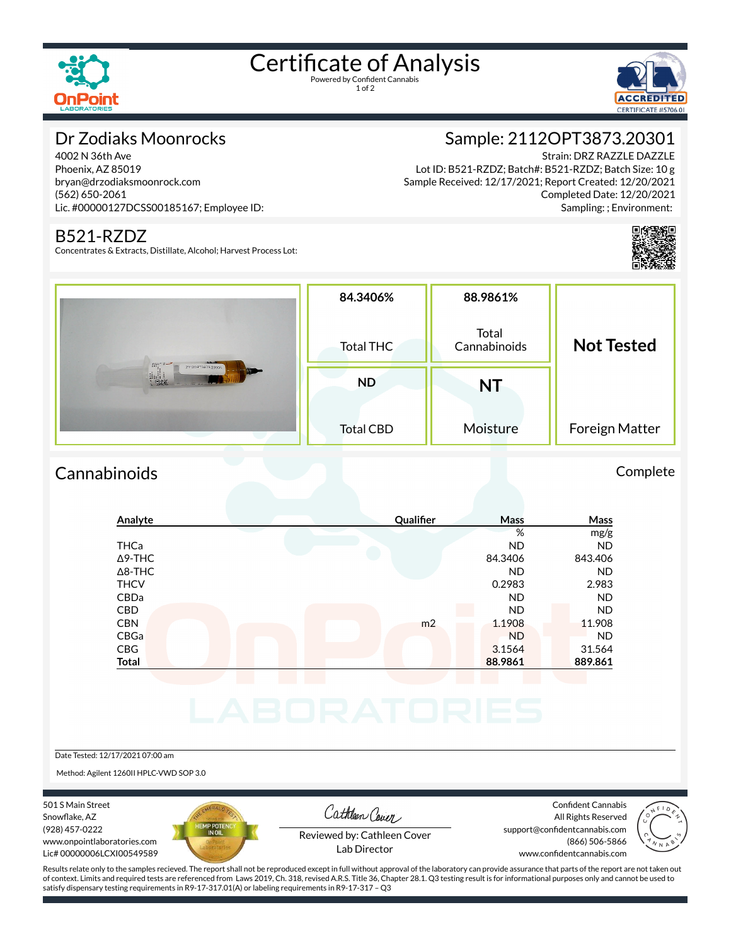

# Certificate of Analysis

1 of 2



### Dr Zodiaks Moonrocks

4002 N 36th Ave Phoenix, AZ 85019 bryan@drzodiaksmoonrock.com (562) 650-2061 Lic. #00000127DCSS00185167; Employee ID:

#### B521-RZDZ

Concentrates & Extracts, Distillate, Alcohol; Harvest Process Lot:

## Sample: 2112OPT3873.20301

Strain: DRZ RAZZLE DAZZLE Lot ID: B521-RZDZ; Batch#: B521-RZDZ; Batch Size: 10 g Sample Received: 12/17/2021; Report Created: 12/20/2021 Completed Date: 12/20/2021 Sampling: ; Environment:



| $f_{111}^{101}$ , $1 -$<br>21120PT3873 20301<br><b>Contract Contract</b><br>$\frac{1}{2}$ and $\frac{1}{2}$ | 84.3406%<br><b>Total THC</b> | 88.9861%<br>Total<br>Cannabinoids | <b>Not Tested</b> |
|-------------------------------------------------------------------------------------------------------------|------------------------------|-----------------------------------|-------------------|
|                                                                                                             | <b>ND</b>                    | <b>NT</b>                         |                   |
|                                                                                                             | <b>Total CBD</b>             | Moisture                          | Foreign Matter    |

## Cannabinoids Complete **Analyte Qualier Mass Mass** % mg/g THCa ND ND Δ9-THC 84.3406 843.406 Δ8-THC ND ND THCV 0.2983 2.983 CBDa ND ND CBD A RESIDENCE OF A RESIDENCE OF A RESIDENCE OF A RESIDENCE OF A RESIDENCE OF A RESIDENCE OF A RESIDENCE OF A **CBN** m2 1.1908 11.908 CBGa ND ND CBG 31.564 31.564 31.564 **Total 88.9861 889.861** Date Tested: 12/17/2021 07:00 am

Method: Agilent 1260II HPLC-VWD SOP 3.0

501 S Main Street Snowflake, AZ (928) 457-0222 www.onpointlaboratories.com Lic# 00000006LCXI00549589



Cathleen Cover

Confident Cannabis All Rights Reserved support@confidentcannabis.com (866) 506-5866 www.confidentcannabis.com



Reviewed by: Cathleen Cover Lab Director

Results relate only to the samples recieved. The report shall not be reproduced except in full without approval of the laboratory can provide assurance that parts of the report are not taken out of context. Limits and required tests are referenced from Laws 2019, Ch. 318, revised A.R.S. Title 36, Chapter 28.1. Q3 testing result is for informational purposes only and cannot be used to satisfy dispensary testing requirements in R9-17-317.01(A) or labeling requirements in R9-17-317 – Q3